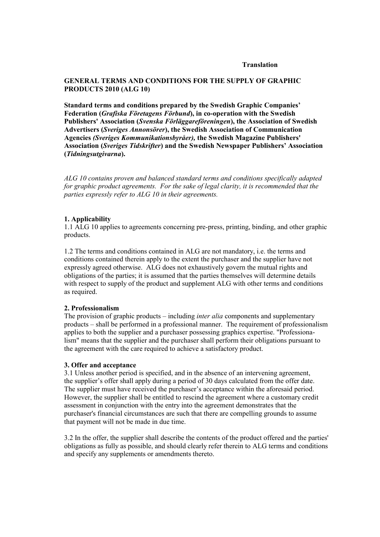#### **Translation**

# **GENERAL TERMS AND CONDITIONS FOR THE SUPPLY OF GRAPHIC PRODUCTS 2010 (ALG 10)**

**Standard terms and conditions prepared by the Swedish Graphic Companies' Federation (***Grafiska Företagens Förbund***), in co-operation with the Swedish Publishers' Association (***Svenska Förläggareföreningen***), the Association of Swedish Advertisers (***Sveriges Annonsörer***), the Swedish Association of Communication Agencies** *(Sveriges Kommunikationsbyråer),* **the Swedish Magazine Publishers'**  Association (*Sveriges Tidskrifter*) and the Swedish Newspaper Publishers' Association **(***Tidningsutgivarna***).**

*ALG 10 contains proven and balanced standard terms and conditions specifically adapted for graphic product agreements. For the sake of legal clarity, it is recommended that the parties expressly refer to ALG 10 in their agreements.*

### **1. Applicability**

1.1 ALG 10 applies to agreements concerning pre-press, printing, binding, and other graphic products.

1.2 The terms and conditions contained in ALG are not mandatory, i.e. the terms and conditions contained therein apply to the extent the purchaser and the supplier have not expressly agreed otherwise. ALG does not exhaustively govern the mutual rights and obligations of the parties; it is assumed that the parties themselves will determine details with respect to supply of the product and supplement ALG with other terms and conditions as required.

#### **2. Professionalism**

The provision of graphic products – including *inter alia* components and supplementary products – shall be performed in a professional manner. The requirement of professionalism applies to both the supplier and a purchaser possessing graphics expertise. "Professionalism" means that the supplier and the purchaser shall perform their obligations pursuant to the agreement with the care required to achieve a satisfactory product.

#### **3. Offer and acceptance**

3.1 Unless another period is specified, and in the absence of an intervening agreement, the supplier's offer shall apply during a period of 30 days calculated from the offer date. The supplier must have received the purchaser's acceptance within the aforesaid period. However, the supplier shall be entitled to rescind the agreement where a customary credit assessment in conjunction with the entry into the agreement demonstrates that the purchaser's financial circumstances are such that there are compelling grounds to assume that payment will not be made in due time.

3.2 In the offer, the supplier shall describe the contents of the product offered and the parties' obligations as fully as possible, and should clearly refer therein to ALG terms and conditions and specify any supplements or amendments thereto.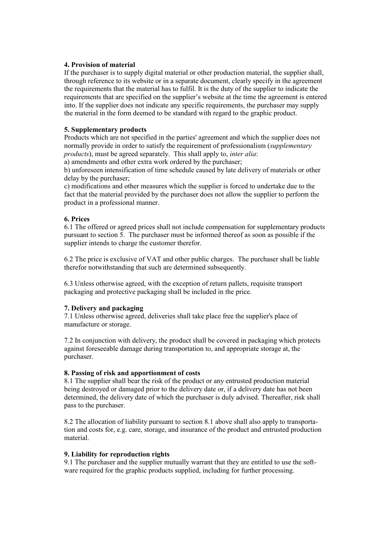## **4. Provision of material**

If the purchaser is to supply digital material or other production material, the supplier shall, through reference to its website or in a separate document, clearly specify in the agreement the requirements that the material has to fulfil. It is the duty of the supplier to indicate the requirements that are specified on the supplier's website at the time the agreement is entered into. If the supplier does not indicate any specific requirements, the purchaser may supply the material in the form deemed to be standard with regard to the graphic product.

# **5. Supplementary products**

Products which are not specified in the parties' agreement and which the supplier does not normally provide in order to satisfy the requirement of professionalism (*supplementary products*), must be agreed separately. This shall apply to, *inter alia*:

a) amendments and other extra work ordered by the purchaser;

b) unforeseen intensification of time schedule caused by late delivery of materials or other delay by the purchaser;

c) modifications and other measures which the supplier is forced to undertake due to the fact that the material provided by the purchaser does not allow the supplier to perform the product in a professional manner.

# **6. Prices**

6.1 The offered or agreed prices shall not include compensation for supplementary products pursuant to section 5. The purchaser must be informed thereof as soon as possible if the supplier intends to charge the customer therefor.

6.2 The price is exclusive of VAT and other public charges. The purchaser shall be liable therefor notwithstanding that such are determined subsequently.

6.3 Unless otherwise agreed, with the exception of return pallets, requisite transport packaging and protective packaging shall be included in the price.

## **7. Delivery and packaging**

7.1 Unless otherwise agreed, deliveries shall take place free the supplier's place of manufacture or storage.

7.2 In conjunction with delivery, the product shall be covered in packaging which protects against foreseeable damage during transportation to, and appropriate storage at, the purchaser.

## **8. Passing of risk and apportionment of costs**

8.1 The supplier shall bear the risk of the product or any entrusted production material being destroyed or damaged prior to the delivery date or, if a delivery date has not been determined, the delivery date of which the purchaser is duly advised. Thereafter, risk shall pass to the purchaser.

8.2 The allocation of liability pursuant to section 8.1 above shall also apply to transportation and costs for, e.g. care, storage, and insurance of the product and entrusted production material.

## **9. Liability for reproduction rights**

9.1 The purchaser and the supplier mutually warrant that they are entitled to use the software required for the graphic products supplied, including for further processing.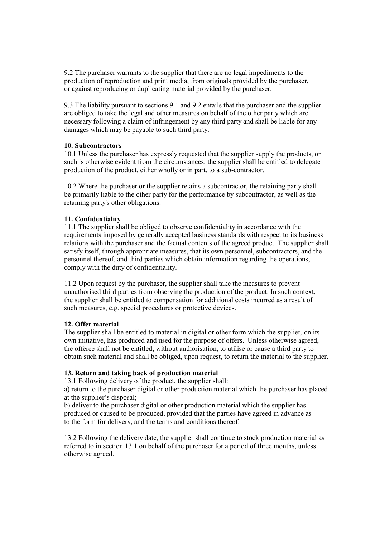9.2 The purchaser warrants to the supplier that there are no legal impediments to the production of reproduction and print media, from originals provided by the purchaser, or against reproducing or duplicating material provided by the purchaser.

9.3 The liability pursuant to sections 9.1 and 9.2 entails that the purchaser and the supplier are obliged to take the legal and other measures on behalf of the other party which are necessary following a claim of infringement by any third party and shall be liable for any damages which may be payable to such third party.

## **10. Subcontractors**

10.1 Unless the purchaser has expressly requested that the supplier supply the products, or such is otherwise evident from the circumstances, the supplier shall be entitled to delegate production of the product, either wholly or in part, to a sub-contractor.

10.2 Where the purchaser or the supplier retains a subcontractor, the retaining party shall be primarily liable to the other party for the performance by subcontractor, as well as the retaining party's other obligations.

# **11. Confidentiality**

11.1 The supplier shall be obliged to observe confidentiality in accordance with the requirements imposed by generally accepted business standards with respect to its business relations with the purchaser and the factual contents of the agreed product. The supplier shall satisfy itself, through appropriate measures, that its own personnel, subcontractors, and the personnel thereof, and third parties which obtain information regarding the operations, comply with the duty of confidentiality.

11.2 Upon request by the purchaser, the supplier shall take the measures to prevent unauthorised third parties from observing the production of the product. In such context, the supplier shall be entitled to compensation for additional costs incurred as a result of such measures, e.g. special procedures or protective devices.

## **12. Offer material**

The supplier shall be entitled to material in digital or other form which the supplier, on its own initiative, has produced and used for the purpose of offers. Unless otherwise agreed, the offeree shall not be entitled, without authorisation, to utilise or cause a third party to obtain such material and shall be obliged, upon request, to return the material to the supplier.

## **13. Return and taking back of production material**

13.1 Following delivery of the product, the supplier shall:

a) return to the purchaser digital or other production material which the purchaser has placed at the supplier's disposal;

b) deliver to the purchaser digital or other production material which the supplier has produced or caused to be produced, provided that the parties have agreed in advance as to the form for delivery, and the terms and conditions thereof.

13.2 Following the delivery date, the supplier shall continue to stock production material as referred to in section 13.1 on behalf of the purchaser for a period of three months, unless otherwise agreed.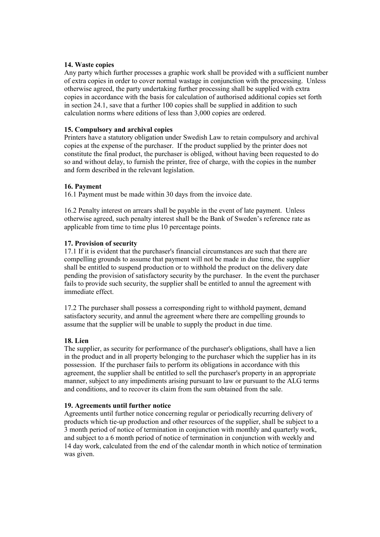### **14. Waste copies**

Any party which further processes a graphic work shall be provided with a sufficient number of extra copies in order to cover normal wastage in conjunction with the processing. Unless otherwise agreed, the party undertaking further processing shall be supplied with extra copies in accordance with the basis for calculation of authorised additional copies set forth in section 24.1, save that a further 100 copies shall be supplied in addition to such calculation norms where editions of less than 3,000 copies are ordered.

### **15. Compulsory and archival copies**

Printers have a statutory obligation under Swedish Law to retain compulsory and archival copies at the expense of the purchaser. If the product supplied by the printer does not constitute the final product, the purchaser is obliged, without having been requested to do so and without delay, to furnish the printer, free of charge, with the copies in the number and form described in the relevant legislation.

### **16. Payment**

16.1 Payment must be made within 30 days from the invoice date.

16.2 Penalty interest on arrears shall be payable in the event of late payment. Unless otherwise agreed, such penalty interest shall be the Bank of Sweden's reference rate as applicable from time to time plus 10 percentage points.

### **17. Provision of security**

17.1 If it is evident that the purchaser's financial circumstances are such that there are compelling grounds to assume that payment will not be made in due time, the supplier shall be entitled to suspend production or to withhold the product on the delivery date pending the provision of satisfactory security by the purchaser. In the event the purchaser fails to provide such security, the supplier shall be entitled to annul the agreement with immediate effect.

17.2 The purchaser shall possess a corresponding right to withhold payment, demand satisfactory security, and annul the agreement where there are compelling grounds to assume that the supplier will be unable to supply the product in due time.

## **18. Lien**

The supplier, as security for performance of the purchaser's obligations, shall have a lien in the product and in all property belonging to the purchaser which the supplier has in its possession. If the purchaser fails to perform its obligations in accordance with this agreement, the supplier shall be entitled to sell the purchaser's property in an appropriate manner, subject to any impediments arising pursuant to law or pursuant to the ALG terms and conditions, and to recover its claim from the sum obtained from the sale.

#### **19. Agreements until further notice**

Agreements until further notice concerning regular or periodically recurring delivery of products which tie-up production and other resources of the supplier, shall be subject to a 3 month period of notice of termination in conjunction with monthly and quarterly work, and subject to a 6 month period of notice of termination in conjunction with weekly and 14 day work, calculated from the end of the calendar month in which notice of termination was given.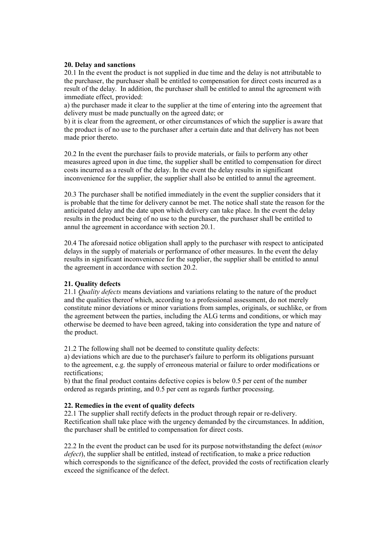## **20. Delay and sanctions**

20.1 In the event the product is not supplied in due time and the delay is not attributable to the purchaser, the purchaser shall be entitled to compensation for direct costs incurred as a result of the delay. In addition, the purchaser shall be entitled to annul the agreement with immediate effect, provided:

a) the purchaser made it clear to the supplier at the time of entering into the agreement that delivery must be made punctually on the agreed date; or

b) it is clear from the agreement, or other circumstances of which the supplier is aware that the product is of no use to the purchaser after a certain date and that delivery has not been made prior thereto.

20.2 In the event the purchaser fails to provide materials, or fails to perform any other measures agreed upon in due time, the supplier shall be entitled to compensation for direct costs incurred as a result of the delay. In the event the delay results in significant inconvenience for the supplier, the supplier shall also be entitled to annul the agreement.

20.3 The purchaser shall be notified immediately in the event the supplier considers that it is probable that the time for delivery cannot be met. The notice shall state the reason for the anticipated delay and the date upon which delivery can take place. In the event the delay results in the product being of no use to the purchaser, the purchaser shall be entitled to annul the agreement in accordance with section 20.1.

20.4 The aforesaid notice obligation shall apply to the purchaser with respect to anticipated delays in the supply of materials or performance of other measures. In the event the delay results in significant inconvenience for the supplier, the supplier shall be entitled to annul the agreement in accordance with section 20.2.

## **21. Quality defects**

21.1 *Quality defects* means deviations and variations relating to the nature of the product and the qualities thereof which, according to a professional assessment, do not merely constitute minor deviations or minor variations from samples, originals, or suchlike, or from the agreement between the parties, including the ALG terms and conditions, or which may otherwise be deemed to have been agreed, taking into consideration the type and nature of the product.

21.2 The following shall not be deemed to constitute quality defects:

a) deviations which are due to the purchaser's failure to perform its obligations pursuant to the agreement, e.g. the supply of erroneous material or failure to order modifications or rectifications;

b) that the final product contains defective copies is below 0.5 per cent of the number ordered as regards printing, and 0.5 per cent as regards further processing.

## **22. Remedies in the event of quality defects**

22.1 The supplier shall rectify defects in the product through repair or re-delivery. Rectification shall take place with the urgency demanded by the circumstances. In addition, the purchaser shall be entitled to compensation for direct costs.

22.2 In the event the product can be used for its purpose notwithstanding the defect (*minor defect*), the supplier shall be entitled, instead of rectification, to make a price reduction which corresponds to the significance of the defect, provided the costs of rectification clearly exceed the significance of the defect.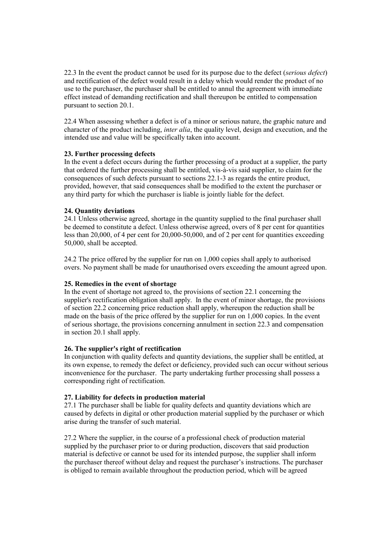22.3 In the event the product cannot be used for its purpose due to the defect (*serious defect*) and rectification of the defect would result in a delay which would render the product of no use to the purchaser, the purchaser shall be entitled to annul the agreement with immediate effect instead of demanding rectification and shall thereupon be entitled to compensation pursuant to section 20.1.

22.4 When assessing whether a defect is of a minor or serious nature, the graphic nature and character of the product including, *inter alia*, the quality level, design and execution, and the intended use and value will be specifically taken into account.

# **23. Further processing defects**

In the event a defect occurs during the further processing of a product at a supplier, the party that ordered the further processing shall be entitled, vis-à-vis said supplier, to claim for the consequences of such defects pursuant to sections 22.1-3 as regards the entire product, provided, however, that said consequences shall be modified to the extent the purchaser or any third party for which the purchaser is liable is jointly liable for the defect.

# **24. Quantity deviations**

24.1 Unless otherwise agreed, shortage in the quantity supplied to the final purchaser shall be deemed to constitute a defect. Unless otherwise agreed, overs of 8 per cent for quantities less than 20,000, of 4 per cent for 20,000-50,000, and of 2 per cent for quantities exceeding 50,000, shall be accepted.

24.2 The price offered by the supplier for run on 1,000 copies shall apply to authorised overs. No payment shall be made for unauthorised overs exceeding the amount agreed upon.

# **25. Remedies in the event of shortage**

In the event of shortage not agreed to, the provisions of section 22.1 concerning the supplier's rectification obligation shall apply. In the event of minor shortage, the provisions of section 22.2 concerning price reduction shall apply, whereupon the reduction shall be made on the basis of the price offered by the supplier for run on 1,000 copies. In the event of serious shortage, the provisions concerning annulment in section 22.3 and compensation in section 20.1 shall apply.

## **26. The supplier's right of rectification**

In conjunction with quality defects and quantity deviations, the supplier shall be entitled, at its own expense, to remedy the defect or deficiency, provided such can occur without serious inconvenience for the purchaser. The party undertaking further processing shall possess a corresponding right of rectification.

## **27. Liability for defects in production material**

27.1 The purchaser shall be liable for quality defects and quantity deviations which are caused by defects in digital or other production material supplied by the purchaser or which arise during the transfer of such material.

27.2 Where the supplier, in the course of a professional check of production material supplied by the purchaser prior to or during production, discovers that said production material is defective or cannot be used for its intended purpose, the supplier shall inform the purchaser thereof without delay and request the purchaser's instructions. The purchaser is obliged to remain available throughout the production period, which will be agreed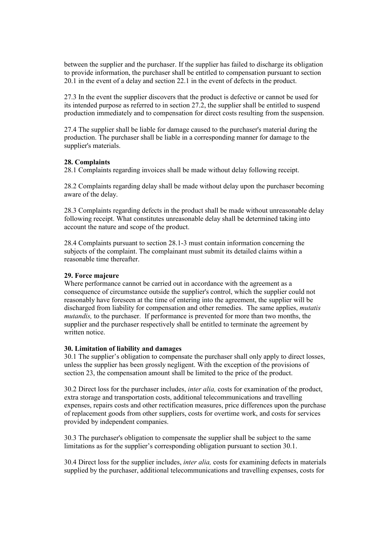between the supplier and the purchaser. If the supplier has failed to discharge its obligation to provide information, the purchaser shall be entitled to compensation pursuant to section 20.1 in the event of a delay and section 22.1 in the event of defects in the product.

27.3 In the event the supplier discovers that the product is defective or cannot be used for its intended purpose as referred to in section 27.2, the supplier shall be entitled to suspend production immediately and to compensation for direct costs resulting from the suspension.

27.4 The supplier shall be liable for damage caused to the purchaser's material during the production. The purchaser shall be liable in a corresponding manner for damage to the supplier's materials.

## **28. Complaints**

28.1 Complaints regarding invoices shall be made without delay following receipt.

28.2 Complaints regarding delay shall be made without delay upon the purchaser becoming aware of the delay.

28.3 Complaints regarding defects in the product shall be made without unreasonable delay following receipt. What constitutes unreasonable delay shall be determined taking into account the nature and scope of the product.

28.4 Complaints pursuant to section 28.1-3 must contain information concerning the subjects of the complaint. The complainant must submit its detailed claims within a reasonable time thereafter.

## **29. Force majeure**

Where performance cannot be carried out in accordance with the agreement as a consequence of circumstance outside the supplier's control, which the supplier could not reasonably have foreseen at the time of entering into the agreement, the supplier will be discharged from liability for compensation and other remedies. The same applies, *mutatis mutandis,* to the purchaser. If performance is prevented for more than two months, the supplier and the purchaser respectively shall be entitled to terminate the agreement by written notice.

## **30. Limitation of liability and damages**

30.1 The supplier's obligation to compensate the purchaser shall only apply to direct losses, unless the supplier has been grossly negligent. With the exception of the provisions of section 23, the compensation amount shall be limited to the price of the product.

30.2 Direct loss for the purchaser includes, *inter alia,* costs for examination of the product, extra storage and transportation costs, additional telecommunications and travelling expenses, repairs costs and other rectification measures, price differences upon the purchase of replacement goods from other suppliers, costs for overtime work, and costs for services provided by independent companies.

30.3 The purchaser's obligation to compensate the supplier shall be subject to the same limitations as for the supplier's corresponding obligation pursuant to section 30.1.

30.4 Direct loss for the supplier includes, *inter alia,* costs for examining defects in materials supplied by the purchaser, additional telecommunications and travelling expenses, costs for